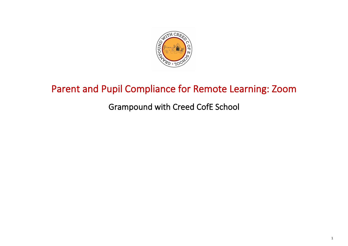

### Parent and Pupil Compliance for Remote Learning: Zoom

Grampound with Creed CofE School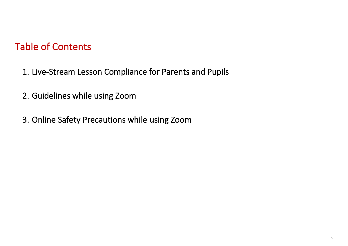### Table of Contents

- 1. Live-Stream Lesson Compliance for Parents and Pupils
- 2. Guidelines while using Zoom
- 3. Online Safety Precautions while using Zoom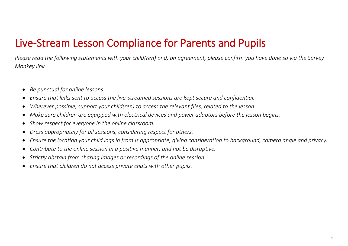## Live-Stream Lesson Compliance for Parents and Pupils

*Please read the following statements with your child(ren) and, on agreement, please confirm you have done so via the Survey Monkey link.*

- *Be punctual for online lessons.*
- *Ensure that links sent to access the live-streamed sessions are kept secure and confidential.*
- *Wherever possible, support your child(ren) to access the relevant files, related to the lesson.*
- *Make sure children are equipped with electrical devices and power adaptors before the lesson begins.*
- *Show respect for everyone in the online classroom.*
- *Dress appropriately for all sessions, considering respect for others.*
- *Ensure the location your child logs in from is appropriate, giving consideration to background, camera angle and privacy.*
- *Contribute to the online session in a positive manner, and not be disruptive.*
- *Strictly abstain from sharing images or recordings of the online session.*
- *Ensure that children do not access private chats with other pupils.*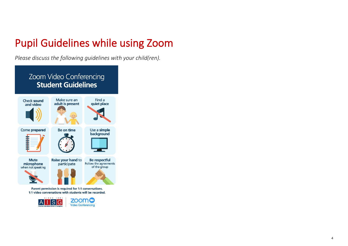# Pupil Guidelines while using Zoom

*Please discuss the following guidelines with your child(ren).*